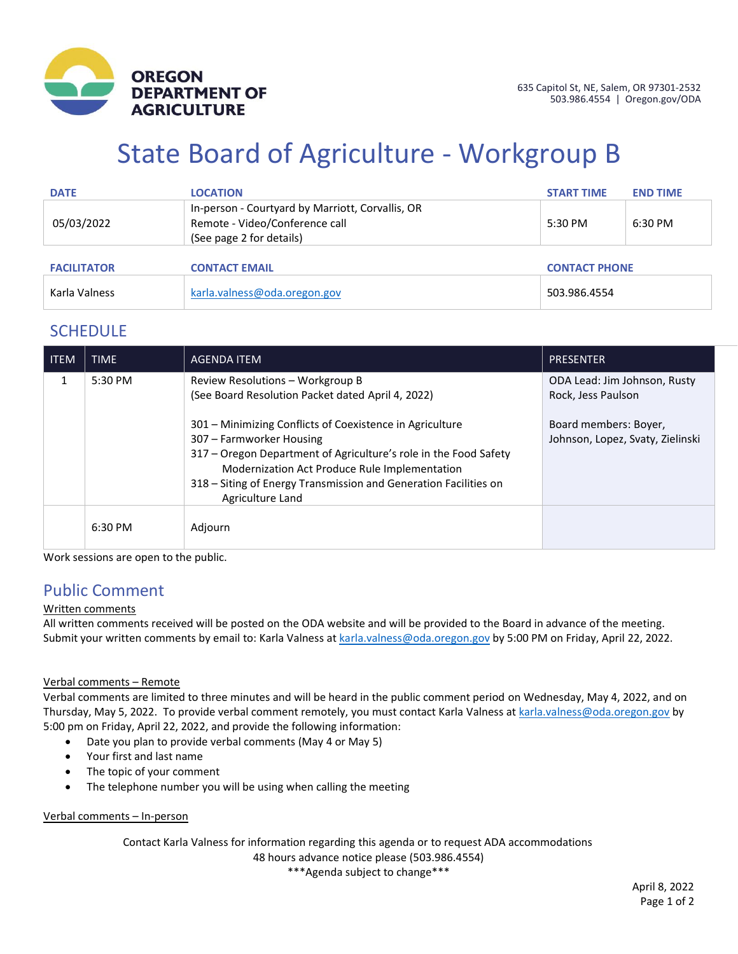

# State Board of Agriculture - Workgroup B

| <b>DATE</b>        | <b>LOCATION</b>                                                                                                | <b>START TIME</b> | <b>END TIME</b>      |  |
|--------------------|----------------------------------------------------------------------------------------------------------------|-------------------|----------------------|--|
| 05/03/2022         | In-person - Courtyard by Marriott, Corvallis, OR<br>Remote - Video/Conference call<br>(See page 2 for details) | 5:30 PM           | 6:30 PM              |  |
| <b>FACILITATOR</b> | <b>CONTACT EMAIL</b>                                                                                           |                   | <b>CONTACT PHONE</b> |  |
| Karla Valness      | karla.valness@oda.oregon.gov                                                                                   | 503.986.4554      |                      |  |

### **SCHEDULE**

| <b>ITEM</b> | <b>TIME</b> | <b>AGENDA ITEM</b>                                                                                                                                                                                                                                                                                | <b>PRESENTER</b>                                          |
|-------------|-------------|---------------------------------------------------------------------------------------------------------------------------------------------------------------------------------------------------------------------------------------------------------------------------------------------------|-----------------------------------------------------------|
| 1           | 5:30 PM     | Review Resolutions - Workgroup B<br>(See Board Resolution Packet dated April 4, 2022)                                                                                                                                                                                                             | ODA Lead: Jim Johnson, Rusty<br>Rock, Jess Paulson        |
|             |             | 301 – Minimizing Conflicts of Coexistence in Agriculture<br>307 – Farmworker Housing<br>317 - Oregon Department of Agriculture's role in the Food Safety<br>Modernization Act Produce Rule Implementation<br>318 – Siting of Energy Transmission and Generation Facilities on<br>Agriculture Land | Board members: Boyer,<br>Johnson, Lopez, Svaty, Zielinski |
|             | 6:30 PM     | Adjourn                                                                                                                                                                                                                                                                                           |                                                           |

Work sessions are open to the public.

# Public Comment

#### Written comments

All written comments received will be posted on the ODA website and will be provided to the Board in advance of the meeting. Submit your written comments by email to: Karla Valness a[t karla.valness@oda.oregon.gov](mailto:karla.valness@oda.oregon.gov) by 5:00 PM on Friday, April 22, 2022.

#### Verbal comments – Remote

Verbal comments are limited to three minutes and will be heard in the public comment period on Wednesday, May 4, 2022, and on Thursday, May 5, 2022. To provide verbal comment remotely, you must contact Karla Valness a[t karla.valness@oda.oregon.gov](mailto:karla.valness@oda.oregon.gov) by 5:00 pm on Friday, April 22, 2022, and provide the following information:

- Date you plan to provide verbal comments (May 4 or May 5)
- Your first and last name
- The topic of your comment
- The telephone number you will be using when calling the meeting

#### Verbal comments – In-person

Contact Karla Valness for information regarding this agenda or to request ADA accommodations 48 hours advance notice please (503.986.4554)

\*\*\*Agenda subject to change\*\*\*